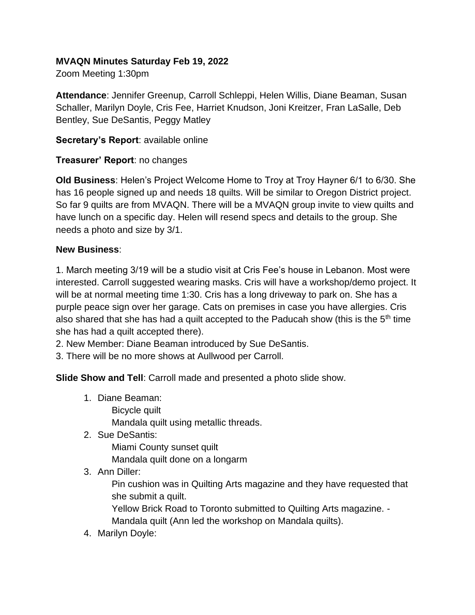#### **MVAQN Minutes Saturday Feb 19, 2022**

Zoom Meeting 1:30pm

**Attendance**: Jennifer Greenup, Carroll Schleppi, Helen Willis, Diane Beaman, Susan Schaller, Marilyn Doyle, Cris Fee, Harriet Knudson, Joni Kreitzer, Fran LaSalle, Deb Bentley, Sue DeSantis, Peggy Matley

**Secretary's Report**: available online

### **Treasurer' Report**: no changes

**Old Business**: Helen's Project Welcome Home to Troy at Troy Hayner 6/1 to 6/30. She has 16 people signed up and needs 18 quilts. Will be similar to Oregon District project. So far 9 quilts are from MVAQN. There will be a MVAQN group invite to view quilts and have lunch on a specific day. Helen will resend specs and details to the group. She needs a photo and size by 3/1.

### **New Business**:

1. March meeting 3/19 will be a studio visit at Cris Fee's house in Lebanon. Most were interested. Carroll suggested wearing masks. Cris will have a workshop/demo project. It will be at normal meeting time 1:30. Cris has a long driveway to park on. She has a purple peace sign over her garage. Cats on premises in case you have allergies. Cris also shared that she has had a quilt accepted to the Paducah show (this is the 5<sup>th</sup> time she has had a quilt accepted there).

2. New Member: Diane Beaman introduced by Sue DeSantis.

3. There will be no more shows at Aullwood per Carroll.

**Slide Show and Tell**: Carroll made and presented a photo slide show.

- 1. Diane Beaman:
	- Bicycle quilt

Mandala quilt using metallic threads.

2. Sue DeSantis:

Miami County sunset quilt

Mandala quilt done on a longarm

3. Ann Diller:

Pin cushion was in Quilting Arts magazine and they have requested that she submit a quilt.

Yellow Brick Road to Toronto submitted to Quilting Arts magazine. - Mandala quilt (Ann led the workshop on Mandala quilts).

4. Marilyn Doyle: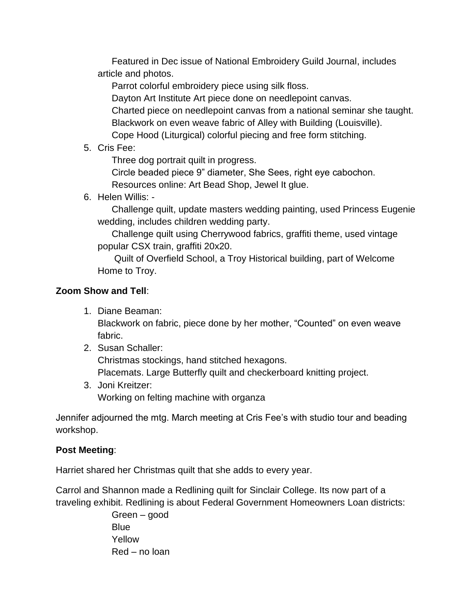Featured in Dec issue of National Embroidery Guild Journal, includes article and photos.

Parrot colorful embroidery piece using silk floss.

Dayton Art Institute Art piece done on needlepoint canvas.

Charted piece on needlepoint canvas from a national seminar she taught.

Blackwork on even weave fabric of Alley with Building (Louisville).

Cope Hood (Liturgical) colorful piecing and free form stitching.

5. Cris Fee:

Three dog portrait quilt in progress.

Circle beaded piece 9" diameter, She Sees, right eye cabochon.

Resources online: Art Bead Shop, Jewel It glue.

6. Helen Willis: -

Challenge quilt, update masters wedding painting, used Princess Eugenie wedding, includes children wedding party.

Challenge quilt using Cherrywood fabrics, graffiti theme, used vintage popular CSX train, graffiti 20x20.

Quilt of Overfield School, a Troy Historical building, part of Welcome Home to Troy.

# **Zoom Show and Tell**:

1. Diane Beaman:

Blackwork on fabric, piece done by her mother, "Counted" on even weave fabric.

- 2. Susan Schaller: Christmas stockings, hand stitched hexagons. Placemats. Large Butterfly quilt and checkerboard knitting project.
- 3. Joni Kreitzer: Working on felting machine with organza

Jennifer adjourned the mtg. March meeting at Cris Fee's with studio tour and beading workshop.

## **Post Meeting**:

Harriet shared her Christmas quilt that she adds to every year.

Carrol and Shannon made a Redlining quilt for Sinclair College. Its now part of a traveling exhibit. Redlining is about Federal Government Homeowners Loan districts:

> Green – good **Blue** Yellow Red – no loan